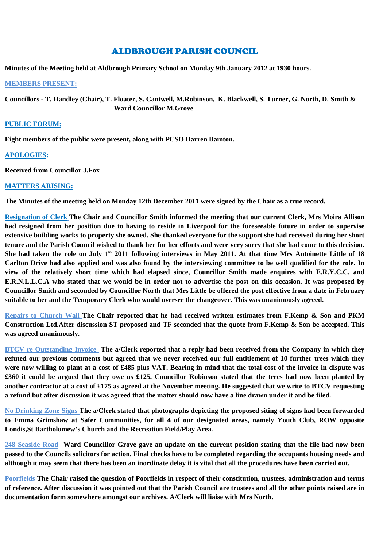# ALDBROUGH PARISH COUNCIL

**Minutes of the Meeting held at Aldbrough Primary School on Monday 9th January 2012 at 1930 hours.**

#### **MEMBERS PRESENT:**

**Councillors - T. Handley (Chair), T. Floater, S. Cantwell, M.Robinson, K. Blackwell, S. Turner, G. North, D. Smith & Ward Councillor M.Grove**

### **PUBLIC FORUM:**

**Eight members of the public were present, along with PCSO Darren Bainton.**

## **APOLOGIES:**

**Received from Councillor J.Fox**

## **MATTERS ARISING:**

**The Minutes of the meeting held on Monday 12th December 2011 were signed by the Chair as a true record.**

**Resignation of Clerk The Chair and Councillor Smith informed the meeting that our current Clerk, Mrs Moira Allison had resigned from her position due to having to reside in Liverpool for the foreseeable future in order to supervise extensive building works to property she owned. She thanked everyone for the support she had received during her short tenure and the Parish Council wished to thank her for her efforts and were very sorry that she had come to this decision. She had taken the role on July 1st 2011 following interviews in May 2011. At that time Mrs Antoinette Little of 18 Carlton Drive had also applied and was also found by the interviewing committee to be well qualified for the role. In view of the relatively short time which had elapsed since, Councillor Smith made enquires with E.R.Y.C.C. and E.R.N.L.L.C.A who stated that we would be in order not to advertise the post on this occasion. It was proposed by Councillor Smith and seconded by Councillor North that Mrs Little be offered the post effective from a date in February suitable to her and the Temporary Clerk who would oversee the changeover. This was unanimously agreed.**

**Repairs to Church Wall The Chair reported that he had received written estimates from F.Kemp & Son and PKM Construction Ltd.After discussion ST proposed and TF seconded that the quote from F.Kemp & Son be accepted. This was agreed unanimously.**

**BTCV re Outstanding Invoice The a/Clerk reported that a reply had been received from the Company in which they refuted our previous comments but agreed that we never received our full entitlement of 10 further trees which they were now willing to plant at a cost of £485 plus VAT. Bearing in mind that the total cost of the invoice in dispute was £360 it could be argued that they owe us £125. Councillor Robinson stated that the trees had now been planted by another contractor at a cost of £175 as agreed at the November meeting. He suggested that we write to BTCV requesting a refund but after discussion it was agreed that the matter should now have a line drawn under it and be filed.**

**No Drinking Zone Signs The a/Clerk stated that photographs depicting the proposed siting of signs had been forwarded to Emma Grimshaw at Safer Communities, for all 4 of our designated areas, namely Youth Club, ROW opposite Londis,St Bartholomew's Church and the Recreation Field/Play Area.**

**248 Seaside Road Ward Councillor Grove gave an update on the current position stating that the file had now been passed to the Councils solicitors for action. Final checks have to be completed regarding the occupants housing needs and although it may seem that there has been an inordinate delay it is vital that all the procedures have been carried out.**

**Poorfields The Chair raised the question of Poorfields in respect of their constitution, trustees, administration and terms of reference. After discussion it was pointed out that the Parish Council are trustees and all the other points raised are in documentation form somewhere amongst our archives. A/Clerk will liaise with Mrs North.**